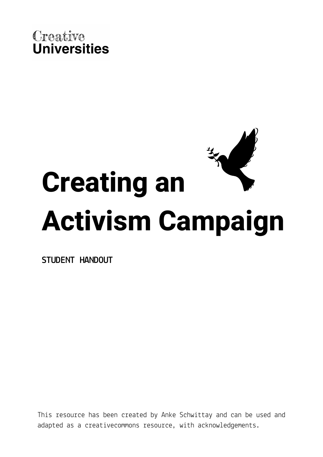



**STUDENT HANDOUT**

This resource has been created by Anke Schwittay and can be used and adapted as a creativecommons resource, with acknowledgements.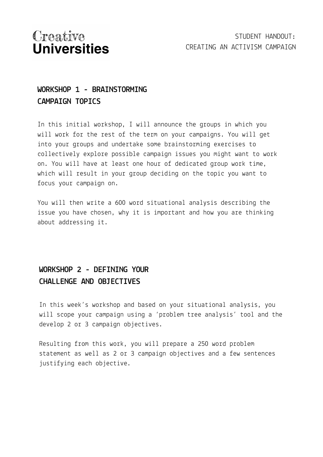# Creative **Universities**

### **WORKSHOP 1 - BRAINSTORMING CAMPAIGN TOPICS**

In this initial workshop, I will announce the groups in which you will work for the rest of the term on your campaigns. You will get into your groups and undertake some brainstorming exercises to collectively explore possible campaign issues you might want to work on. You will have at least one hour of dedicated group work time, which will result in your group deciding on the topic you want to focus your campaign on.

You will then write a 600 word situational analysis describing the issue you have chosen, why it is important and how you are thinking about addressing it.

### **WORKSHOP 2 - DEFINING YOUR CHALLENGE AND OBJECTIVES**

In this week's workshop and based on your situational analysis, you will scope your campaign using a 'problem tree analysis' tool and the develop 2 or 3 campaign objectives.

Resulting from this work, you will prepare a 250 word problem statement as well as 2 or 3 campaign objectives and a few sentences justifying each objective.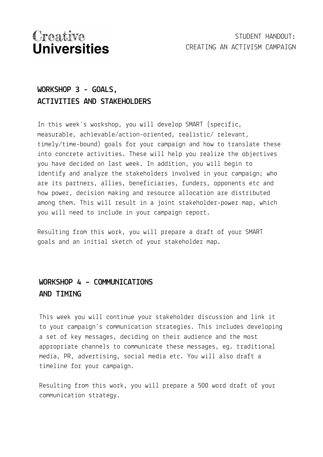# Creative **Universities**

### **WORKSHOP 3 - GOALS, ACTIVITIES AND STAKEHOLDERS**

In this week's workshop, you will develop SMART (specific, measurable, achievable/action-oriented, realistic/ relevant, timely/time-bound) goals for your campaign and how to translate these into concrete activities. These will help you realize the objectives you have decided on last week. In addition, you will begin to identify and analyze the stakeholders involved in your campaign; who are its partners, allies, beneficiaries, funders, opponents etc and how power, decision making and resource allocation are distributed among them. This will result in a joint stakeholder-power map, which you will need to include in your campaign report.

Resulting from this work, you will prepare a draft of your SMART goals and an initial sketch of your stakeholder map.

#### **WORKSHOP 4 – COMMUNICATIONS AND TIMING**

This week you will continue your stakeholder discussion and link it to your campaign's communication strategies. This includes developing a set of key messages, deciding on their audience and the most appropriate channels to communicate these messages, eg. traditional media, PR, advertising, social media etc. You will also draft a timeline for your campaign.

Resulting from this work, you will prepare a 500 word draft of your communication strategy.